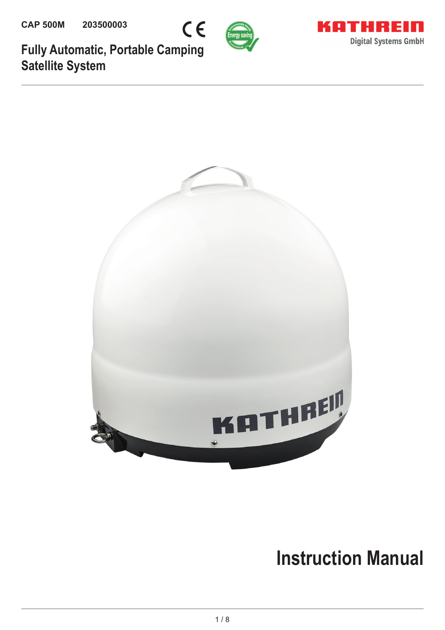





**Fully Automatic, Portable Camping Satellite System**



# **Instruction Manual**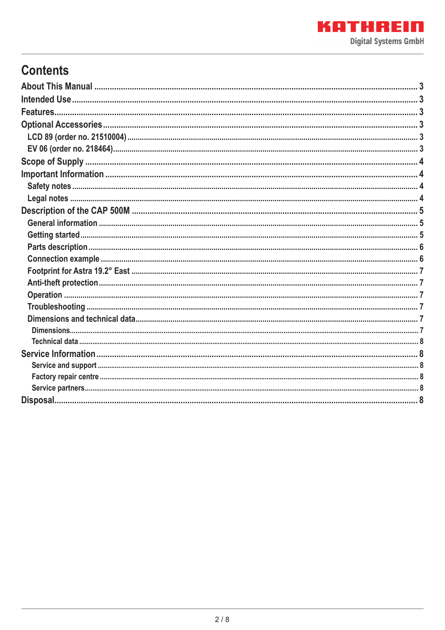# **Contents**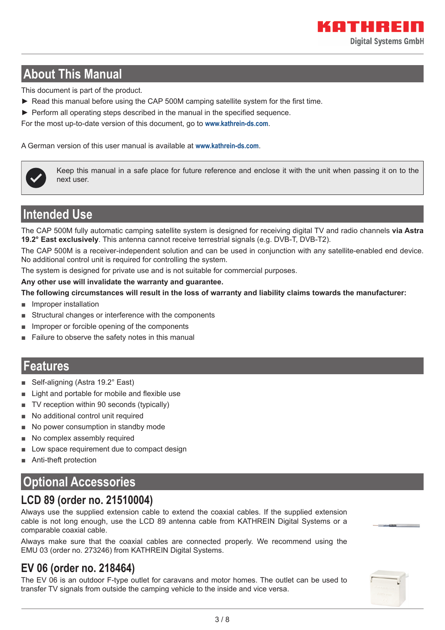# **About This Manual**

This document is part of the product.

- ► Read this manual before using the CAP 500M camping satellite system for the first time.
- $\blacktriangleright$  Perform all operating steps described in the manual in the specified sequence.

For the most up-to-date version of this document, go to **www.kathrein-ds.com**.

A German version of this user manual is available at **www.kathrein-ds.com**.



Keep this manual in a safe place for future reference and enclose it with the unit when passing it on to the next user.

### **Intended Use**

The CAP 500M fully automatic camping satellite system is designed for receiving digital TV and radio channels **via Astra 19.2° East exclusively**. This antenna cannot receive terrestrial signals (e.g. DVB-T, DVB-T2).

The CAP 500M is a receiver-independent solution and can be used in conjunction with any satellite-enabled end device. No additional control unit is required for controlling the system.

The system is designed for private use and is not suitable for commercial purposes.

#### **Any other use will invalidate the warranty and guarantee.**

**The following circumstances will result in the loss of warranty and liability claims towards the manufacturer:**

- Improper installation
- Structural changes or interference with the components
- Improper or forcible opening of the components
- Failure to observe the safety notes in this manual

#### **Features**

- Self-aligning (Astra 19.2° East)
- Light and portable for mobile and flexible use
- TV reception within 90 seconds (typically)
- No additional control unit required
- No power consumption in standby mode
- No complex assembly required
- Low space requirement due to compact design
- Anti-theft protection

# **Optional Accessories**

### **LCD 89 (order no. 21510004)**

Always use the supplied extension cable to extend the coaxial cables. If the supplied extension cable is not long enough, use the LCD 89 antenna cable from KATHREIN Digital Systems or a comparable coaxial cable.

Always make sure that the coaxial cables are connected properly. We recommend using the EMU 03 (order no. 273246) from KATHREIN Digital Systems.

### **EV 06 (order no. 218464)**

The EV 06 is an outdoor F-type outlet for caravans and motor homes. The outlet can be used to transfer TV signals from outside the camping vehicle to the inside and vice versa.

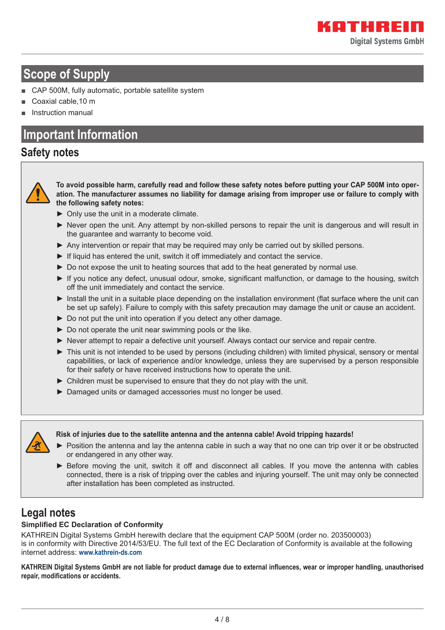# **Scope of Supply**

- CAP 500M, fully automatic, portable satellite system
- Coaxial cable, 10 m
- Instruction manual

### **Important Information**

#### **Safety notes**



**To avoid possible harm, carefully read and follow these safety notes before putting your CAP 500M into operation. The manufacturer assumes no liability for damage arising from improper use or failure to comply with the following safety notes:**

- ► Only use the unit in a moderate climate.
- ► Never open the unit. Any attempt by non-skilled persons to repair the unit is dangerous and will result in the guarantee and warranty to become void.
- ► Any intervention or repair that may be required may only be carried out by skilled persons.
- ► If liquid has entered the unit, switch it off immediately and contact the service.
- ► Do not expose the unit to heating sources that add to the heat generated by normal use.
- ► If you notice any defect, unusual odour, smoke, significant malfunction, or damage to the housing, switch off the unit immediately and contact the service.
- ► Install the unit in a suitable place depending on the installation environment (flat surface where the unit can be set up safely). Failure to comply with this safety precaution may damage the unit or cause an accident.
- ► Do not put the unit into operation if you detect any other damage.
- ► Do not operate the unit near swimming pools or the like.
- ► Never attempt to repair a defective unit yourself. Always contact our service and repair centre.
- ► This unit is not intended to be used by persons (including children) with limited physical, sensory or mental capabilities, or lack of experience and/or knowledge, unless they are supervised by a person responsible for their safety or have received instructions how to operate the unit.
- ► Children must be supervised to ensure that they do not play with the unit.
- ► Damaged units or damaged accessories must no longer be used.



#### **Risk of injuries due to the satellite antenna and the antenna cable! Avoid tripping hazards!**

- ► Position the antenna and lay the antenna cable in such a way that no one can trip over it or be obstructed or endangered in any other way.
- ► Before moving the unit, switch it off and disconnect all cables. If you move the antenna with cables connected, there is a risk of tripping over the cables and injuring yourself. The unit may only be connected after installation has been completed as instructed.

### **Legal notes**

#### **Simplified EC Declaration of Conformity**

KATHREIN Digital Systems GmbH herewith declare that the equipment CAP 500M (order no. 203500003) is in conformity with Directive 2014/53/EU. The full text of the EC Declaration of Conformity is available at the following internet address: **www.kathrein-ds.com**

KATHREIN Digital Systems GmbH are not liable for product damage due to external influences, wear or improper handling, unauthorised repair, modifications or accidents.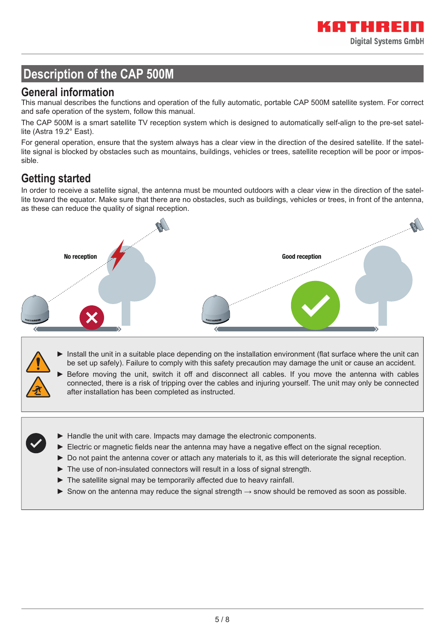# **Description of the CAP 500M**

#### **General information**

This manual describes the functions and operation of the fully automatic, portable CAP 500M satellite system. For correct and safe operation of the system, follow this manual.

The CAP 500M is a smart satellite TV reception system which is designed to automatically self-align to the pre-set satellite (Astra 19.2° East).

For general operation, ensure that the system always has a clear view in the direction of the desired satellite. If the satellite signal is blocked by obstacles such as mountains, buildings, vehicles or trees, satellite reception will be poor or impossible.

### **Getting started**

In order to receive a satellite signal, the antenna must be mounted outdoors with a clear view in the direction of the satellite toward the equator. Make sure that there are no obstacles, such as buildings, vehicles or trees, in front of the antenna, as these can reduce the quality of signal reception.



- ► Install the unit in a suitable place depending on the installation environment (flat surface where the unit can be set up safely). Failure to comply with this safety precaution may damage the unit or cause an accident.
- Before moving the unit, switch it off and disconnect all cables. If you move the antenna with cables connected, there is a risk of tripping over the cables and injuring yourself. The unit may only be connected after installation has been completed as instructed.
- ► Handle the unit with care. Impacts may damage the electronic components.
- $\blacktriangleright$  Electric or magnetic fields near the antenna may have a negative effect on the signal reception.
- ► Do not paint the antenna cover or attach any materials to it, as this will deteriorate the signal reception.
- ► The use of non-insulated connectors will result in a loss of signal strength.
- $\blacktriangleright$  The satellite signal may be temporarily affected due to heavy rainfall.
- ► Snow on the antenna may reduce the signal strength  $\rightarrow$  snow should be removed as soon as possible.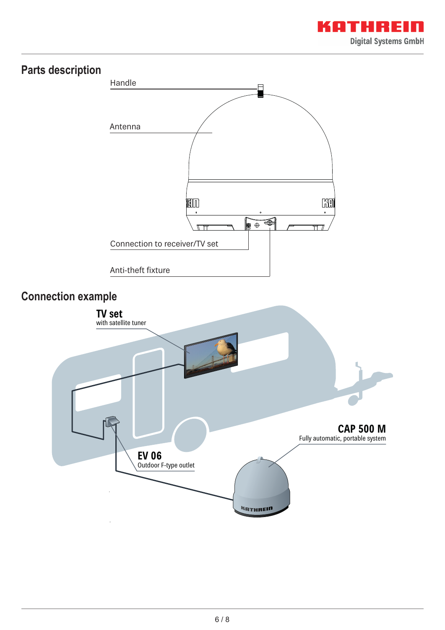

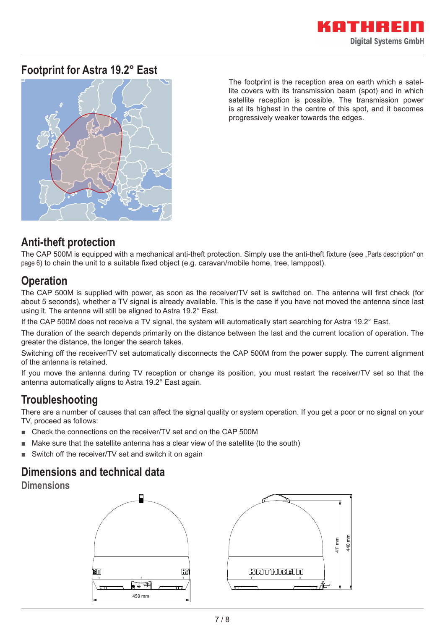### **Footprint for Astra 19.2° East**



The footprint is the reception area on earth which a satellite covers with its transmission beam (spot) and in which satellite reception is possible. The transmission power is at its highest in the centre of this spot, and it becomes progressively weaker towards the edges.

### **Anti-theft protection**

The CAP 500M is equipped with a mechanical anti-theft protection. Simply use the anti-theft fixture (see "Parts description" on page 6) to chain the unit to a suitable fixed object (e.g. caravan/mobile home, tree, lamppost).

### **Operation**

The CAP 500M is supplied with power, as soon as the receiver/TV set is switched on. The antenna will first check (for about 5 seconds), whether a TV signal is already available. This is the case if you have not moved the antenna since last using it. The antenna will still be aligned to Astra 19.2° East.

If the CAP 500M does not receive a TV signal, the system will automatically start searching for Astra 19.2° East.

The duration of the search depends primarily on the distance between the last and the current location of operation. The greater the distance, the longer the search takes.

Switching off the receiver/TV set automatically disconnects the CAP 500M from the power supply. The current alignment of the antenna is retained.

If you move the antenna during TV reception or change its position, you must restart the receiver/TV set so that the antenna automatically aligns to Astra 19.2° East again.

### **Troubleshooting**

There are a number of causes that can affect the signal quality or system operation. If you get a poor or no signal on your TV, proceed as follows:

- Check the connections on the receiver/TV set and on the CAP 500M
- Make sure that the satellite antenna has a clear view of the satellite (to the south)
- Switch off the receiver/TV set and switch it on again

### **Dimensions and technical data**

**Dimensions**